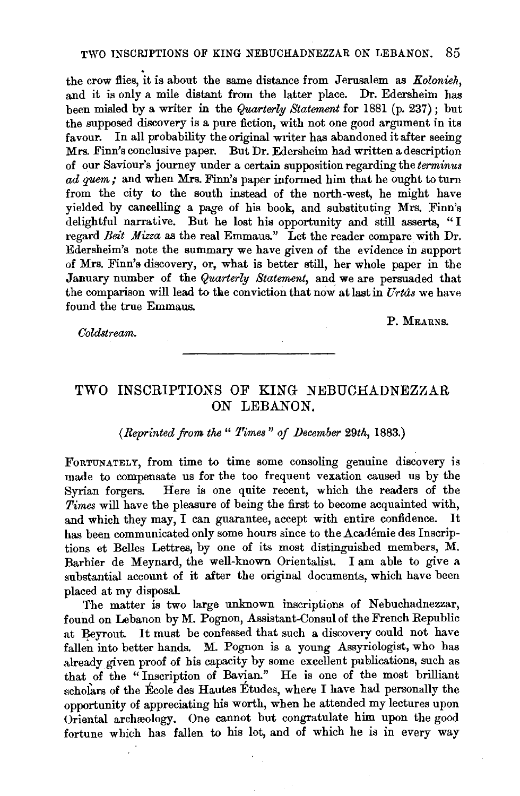the crow flies, it is about the same distance from Jerusalem as *Kolonieh,*  and it is only a mile distant from the latter place. Dr. Edersheim has been misled by a writer in the *Quarterly Statement* for 1881 (p. 237) ; but the supposed discovery is a pure fiction, with not one good argument in its favour. In all probability the original writer has abandoned it after seeing Mrs. Finn's conclusive paper. But Dr. Edersheim had written a description of our Saviour's journey under a certain supposition regarding the *terminus ad quem;* and when Mrs. Finn's paper informed him that he ought to turn from the city to the south instead of the north-west, he might have yielded by caneelling a page of his book, and substituting Mrs. Finn's delightful narrative. But he lost his opportunity and still asserts, "I regard *Beit Kizza* as the real Emmaus." Let the reader compare with Dr. Edersheim's note the summary we have given of the evidence in support of Mrs. Finn's discovery, or, what is better still, her whole paper in the January number of the *Quarterly Statement,* and we are persuaded that the comparison will lead to the conviction that now at last in *Urtâs* we have found the true Emmaus.

P. MEARNS.

*Coldstream.* 

## TWO INSCRIPTIONS OF KING NEBUCHADNEZZAR ON LEBANON.

*(Reprinted from the" Times" of December* 29th, 1883.)

FoRTUNATELY, from time to time some consoling genuine discovery is made to compensate us for the too frequent vexation caused us by the Syrian forgers. Here is one quite recent, which the readers of the *Times* will have the pleasure of being the first to become acquainted with, and which they may, I can guarantee, accept with entire confidence. It has been communicated only some hours since to the Académie des Inscriptions et Belles Lettres, by one of its most distinguished members, M. Barbier de Meynard, the well-known Orientalist. I am able to give a substantial account of it after the original documents, which have been placed at my disposal.

The matter is two large unknown inscriptions of Nebuchadnezzar, found on Lebanon by M. Pognon, Assistant-Consul of the French Republic at Beyrout. It must be confessed that such a discovery could not have fallen into better hands. M. Pognon is a young Assyriologist, who has already given proof of his capacity by some excellent publications, such as that of the "Inscription of Bavian." He is one of the most brilliant scholars of the École des Hautes Études, where I have had personally the opportunity of appreciating his worth, when he attended my lectures upon Oriental archreology. One cannot but congratulate him upon the good fortune which has fallen to his lot, and of which he is in every way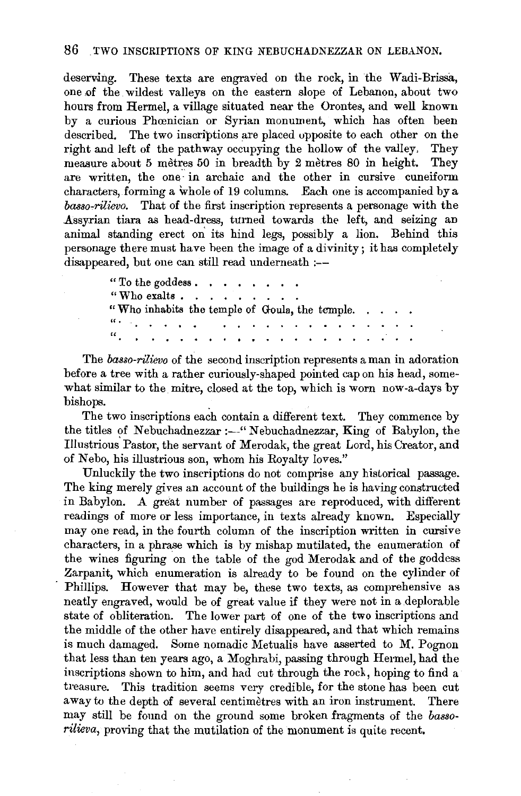deserving. These texts are engraved on the rock, in the Wadi-Brissa, one of the wildest valleys on the eastern slope of Lebanon, about two hours from Hermel, a village situated near the Orontes, and well known by a curious Phœnician or Syrian monument, which has often been described. The two inscriptions are placed opposite to each other on the right and left of the pathway occupying the hollow of the valley, They measure about 5 metres 50 in breadth by 2 metres 80 in height. They are written, the one in archaic and the other in cursive cuneiform characters, forming a whole of 19 columns. Each one is accompanied by a *basso-rilievo.* That of the first inscription represents a personage with the .Assyrian tiara as head-dress, turned towards the left, and seizing an animal standing erect on its hind legs, possibly a lion. Behind this personage there must have been the image of a divinity; it has completely disappeared, but one can still read underneath :--

> " To the goddess  $\ldots$  ,  $\ldots$  ,  $\ldots$ " Who exalts  $\ldots$  . . . . . "Who inhabits the temple of Goula, the temple. المن المناطق المناطق المناطق المناطق المناطق المناطق المناطق المناطق المناطق المناطق المناطق المناطق المناطق ا<br>المناطق المناطق المناطق المناطق المناطق المناطق المناطق المناطق المناطق المناطق المناطق المناطق المناطق المناط

The *basso-rilievo* of the second inscription represents a man in adoration before a tree with a rather curiously-shaped pointed cap on his head, somewhat similar to the mitre, closed at the top, which is worn now-a-days by bishops.

The two inscriptions each contain a different text. They commence by the titles of Nebuchadnezzar :--" Nebuchadnezzar, King of Babylon, the Illustrious Pastor, the servant of Merodak, the great Lord, his Creator, and of Nebo, his illustrious son, whom his Royalty loves."

Unluckily the two inscriptions do not comprise any historical passage. The king merely gives an account of the buildings he is having constructed in Babylon. A great number of passages are reproduced, with different readings of more or less importance, in texts already known. Especially may one read, in the fourth column of the inscription written in cursive characters, in a phrase which is by mishap mutilated, the enumeration of the wines figuring on the table of the god Merodak and of the goddess Zarpanit, which enumeration is already to be found on the cylinder of Phillips. However that may be, these two texts, as comprehensive as neatly engraved, would be of great value if they were not in a deplorable state of obliteration. The lower part of one of the two inscriptions and the middle of the other have entirely disappeared, and that which remains is much damaged. Some nomadic Metualis have asserted to M. Pognon that less than ten years ago, a Moghrabi, passing through Hermel, had the inscriptions shown to him, and had cut through the rock, hoping to find a treasure. This tradition seems very credible, for the stone has been cut away to the depth of several centimetres with an iron instrument. There may still be found on the ground some broken fragments of the *bassorilieva,* proving that the mutilation of the monument is quite recent.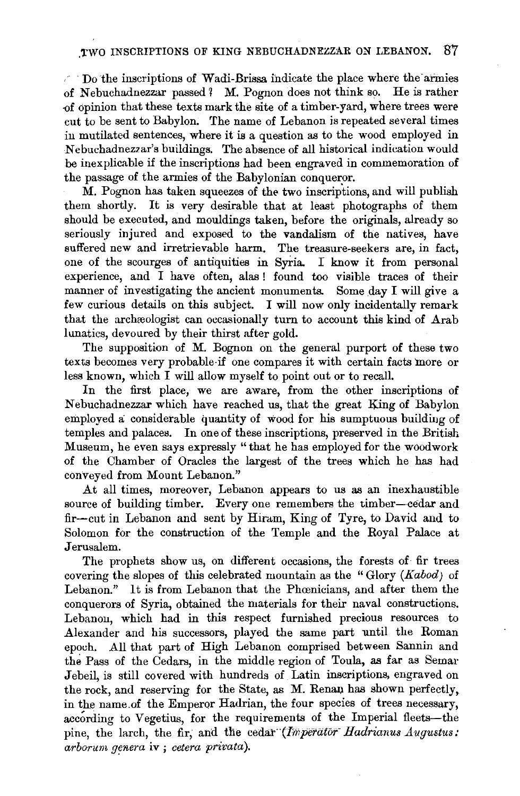$\sim$  Do the inscriptions of Wadi-Brissa indicate the place where the armies of Nebuchadnezzar passed ? M. Pognon does not think so. He is rather of opinion that these texts mark the site of a timber-yard, where trees were cut to be sent to Babylon. The name of Lebanon is repeated several times in mutilated sentences, where it is a question as to the wood employed in Nebuchadnezzar's buildings. The absence of all historical indication would be inexplicable if the inscriptions had been engraved in commemoration of the passage of the armies of the Babylonian conqueror.

 $M.$  Pognon has taken squeezes of the two inscriptions, and will publish them shortly. It is very desirable that at least photographs of them should be executed, and mouldings taken, before the originals, already so seriously injured and exposed to the vandalism of the natives, have suffered new and irretrievable harm. The treasure-seekers are, in fact, one of the scourges of antiquities in Syria. I know it from personal experience, and I have often, alas ! found too visible traces of their manner of investigating the ancient monuments. Some day I will give a few curious details on this subject. I will now only incidentally remark that the archaeologist can occasionally turn to account this kind of Arab lunatics, devoured by their thirst after gold.

The supposition of M. Bognon on the general purport of these two texts becomes very probable· if one compares it with certain facts more or less known, which I will allow myself to point out or to recall.

In the first place, we are aware, from the other inscriptions of Nebuchadnezzar which have reached us, that the great King of Babylon employed a considerable quantity of wood for his sumptuous buildiug of temples and palaces. In one of these inscriptions, preserved in the British Museum, he even says expressly "tbat he has employed for the woodwork of the Chamber of Oracles the largest of the trees which he has had conveyed from Mount Lebanon."

At all times, moreover, Lebanon appears to us as an inexhaustible source of building timber. Every one remembers the timber-cedar and fir-cut in Lebanon and sent by Hiram, King of Tyre, to David and to Solomon for the construction of the Temple and the Royal Palace at Jerusalem.

The prophets show us, on different occasions, the forests of fir trees covering the slopes of this celebrated mountain as the "Glory *(Kabod)* of Lebanon." It is from Lebanon that the Phœnicians, and after them the conquerors of Syria, obtained the materials for their naval constructions. Lebanon, which had in this respect furnished precious resources to Alexander and his successors, played the same part until the Roman epoch. All that part of High Lebanon comprised between Sannin and the Pass of the Cedars, in the middle region of Toula, as far as Semar Jebeil, is still covered with hundreds of Latin inscriptions, engraved on the rock, and reserving for the State, as M. Renan has shown perfectly, in the name.of the Emperor Hadrian, the four species of trees necessary, according to Vegetius, for the requirements of the Imperial fleets-the pine, the larch, the fir, and the cedar (Imperator Hadrianus Augustus: *arborurn genera* iv; *cetera privata).*